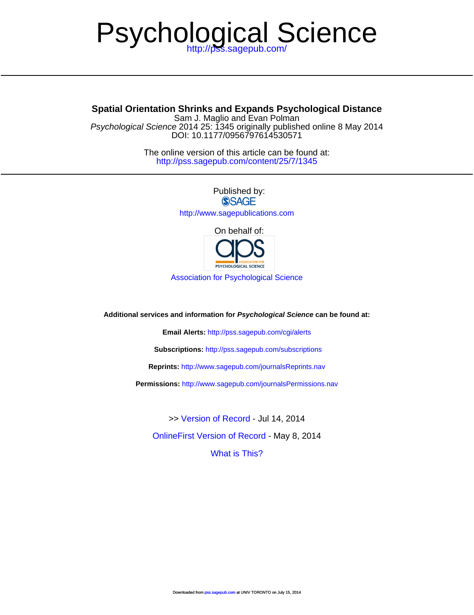# Psychological Science

DOI: 10.1177/0956797614530571 Psychological Science 2014 25: 1345 originally published online 8 May 2014 Sam J. Maglio and Evan Polman **Spatial Orientation Shrinks and Expands Psychological Distance**

> <http://pss.sagepub.com/content/25/7/1345> The online version of this article can be found at:

> > Published by:<br>
> > SAGE <http://www.sagepublications.com> On behalf of:

> > > PSYCHOLOGICAL SCIENCE

[Association for Psychological Science](http://www.psychologicalscience.org/)

**Additional services and information for Psychological Science can be found at:**

**Email Alerts:** <http://pss.sagepub.com/cgi/alerts>

**Subscriptions:** <http://pss.sagepub.com/subscriptions>

**Reprints:** <http://www.sagepub.com/journalsReprints.nav>

**Permissions:** <http://www.sagepub.com/journalsPermissions.nav>

[OnlineFirst Version of Record -](http://pss.sagepub.com/content/early/2014/05/06/0956797614530571.full.pdf) May 8, 2014 >> [Version of Record -](http://pss.sagepub.com/content/25/7/1345.full.pdf) Jul 14, 2014

[What is This?](http://online.sagepub.com/site/sphelp/vorhelp.xhtml)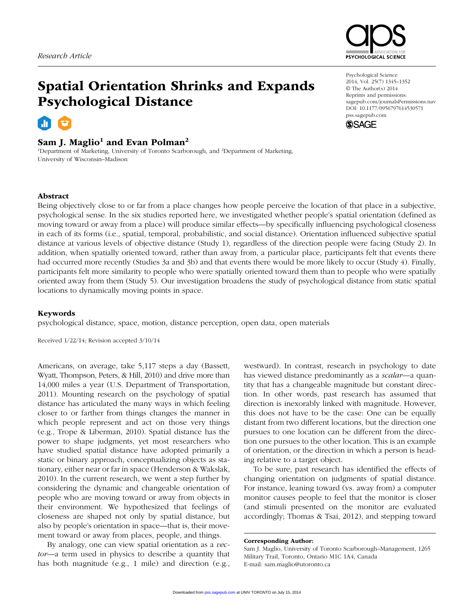## Spatial Orientation Shrinks and Expands Psychological Distance

### Sam J. Maglio<sup>1</sup> and Evan Polman<sup>2</sup>

<sup>1</sup>Department of Marketing, University of Toronto Scarborough, and <sup>2</sup>Department of Marketing, University of Wisconsin–Madison



Psychological Science 2014, Vol. 25(7) 1345–1352 © The Author(s) 2014 Reprints and permissions: sagepub.com/journalsPermissions.nav DOI: 10.1177/0956797614530571 pss.sagepub.com



#### Abstract

Being objectively close to or far from a place changes how people perceive the location of that place in a subjective, psychological sense. In the six studies reported here, we investigated whether people's spatial orientation (defined as moving toward or away from a place) will produce similar effects—by specifically influencing psychological closeness in each of its forms (i.e., spatial, temporal, probabilistic, and social distance). Orientation influenced subjective spatial distance at various levels of objective distance (Study 1), regardless of the direction people were facing (Study 2). In addition, when spatially oriented toward, rather than away from, a particular place, participants felt that events there had occurred more recently (Studies 3a and 3b) and that events there would be more likely to occur (Study 4). Finally, participants felt more similarity to people who were spatially oriented toward them than to people who were spatially oriented away from them (Study 5). Our investigation broadens the study of psychological distance from static spatial locations to dynamically moving points in space.

#### Keywords

psychological distance, space, motion, distance perception, open data, open materials

Received 1/22/14; Revision accepted 3/10/14

Americans, on average, take 5,117 steps a day (Bassett, Wyatt, Thompson, Peters, & Hill, 2010) and drive more than 14,000 miles a year (U.S. Department of Transportation, 2011). Mounting research on the psychology of spatial distance has articulated the many ways in which feeling closer to or farther from things changes the manner in which people represent and act on those very things (e.g., Trope & Liberman, 2010). Spatial distance has the power to shape judgments, yet most researchers who have studied spatial distance have adopted primarily a static or binary approach, conceptualizing objects as stationary, either near or far in space (Henderson & Wakslak, 2010). In the current research, we went a step further by considering the dynamic and changeable orientation of people who are moving toward or away from objects in their environment. We hypothesized that feelings of closeness are shaped not only by spatial distance, but also by people's orientation in space—that is, their movement toward or away from places, people, and things.

By analogy, one can view spatial orientation as a *vector*—a term used in physics to describe a quantity that has both magnitude (e.g., 1 mile) and direction (e.g.,

westward). In contrast, research in psychology to date has viewed distance predominantly as a *scalar*—a quantity that has a changeable magnitude but constant direction. In other words, past research has assumed that direction is inexorably linked with magnitude. However, this does not have to be the case: One can be equally distant from two different locations, but the direction one pursues to one location can be different from the direction one pursues to the other location. This is an example of orientation, or the direction in which a person is heading relative to a target object.

To be sure, past research has identified the effects of changing orientation on judgments of spatial distance. For instance, leaning toward (vs. away from) a computer monitor causes people to feel that the monitor is closer (and stimuli presented on the monitor are evaluated accordingly; Thomas & Tsai, 2012), and stepping toward

Corresponding Author:

Sam J. Maglio, University of Toronto Scarborough–Management, 1265 Military Trail, Toronto, Ontario M1C 1A4, Canada E-mail: sam.maglio@utoronto.ca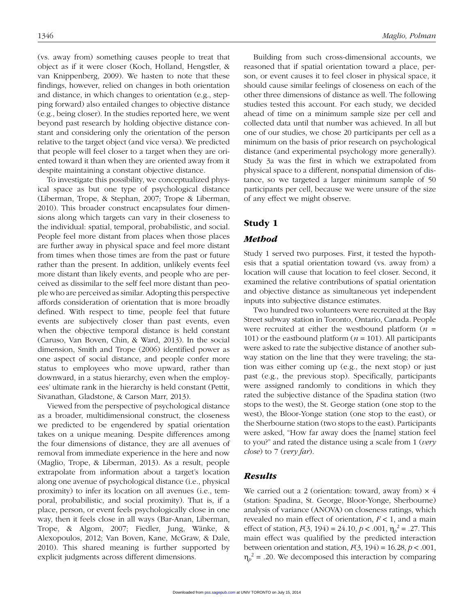(vs. away from) something causes people to treat that object as if it were closer (Koch, Holland, Hengstler, & van Knippenberg, 2009). We hasten to note that these findings, however, relied on changes in both orientation and distance, in which changes to orientation (e.g., stepping forward) also entailed changes to objective distance (e.g., being closer). In the studies reported here, we went beyond past research by holding objective distance constant and considering only the orientation of the person relative to the target object (and vice versa). We predicted that people will feel closer to a target when they are oriented toward it than when they are oriented away from it despite maintaining a constant objective distance.

To investigate this possibility, we conceptualized physical space as but one type of psychological distance (Liberman, Trope, & Stephan, 2007; Trope & Liberman, 2010). This broader construct encapsulates four dimensions along which targets can vary in their closeness to the individual: spatial, temporal, probabilistic, and social. People feel more distant from places when those places are further away in physical space and feel more distant from times when those times are from the past or future rather than the present. In addition, unlikely events feel more distant than likely events, and people who are perceived as dissimilar to the self feel more distant than people who are perceived as similar. Adopting this perspective affords consideration of orientation that is more broadly defined. With respect to time, people feel that future events are subjectively closer than past events, even when the objective temporal distance is held constant (Caruso, Van Boven, Chin, & Ward, 2013). In the social dimension, Smith and Trope (2006) identified power as one aspect of social distance, and people confer more status to employees who move upward, rather than downward, in a status hierarchy, even when the employees' ultimate rank in the hierarchy is held constant (Pettit, Sivanathan, Gladstone, & Carson Marr, 2013).

Viewed from the perspective of psychological distance as a broader, multidimensional construct, the closeness we predicted to be engendered by spatial orientation takes on a unique meaning. Despite differences among the four dimensions of distance, they are all avenues of removal from immediate experience in the here and now (Maglio, Trope, & Liberman, 2013). As a result, people extrapolate from information about a target's location along one avenue of psychological distance (i.e., physical proximity) to infer its location on all avenues (i.e., temporal, probabilistic, and social proximity). That is, if a place, person, or event feels psychologically close in one way, then it feels close in all ways (Bar-Anan, Liberman, Trope, & Algom, 2007; Fiedler, Jung, Wänke, & Alexopoulos, 2012; Van Boven, Kane, McGraw, & Dale, 2010). This shared meaning is further supported by explicit judgments across different dimensions.

Building from such cross-dimensional accounts, we reasoned that if spatial orientation toward a place, person, or event causes it to feel closer in physical space, it should cause similar feelings of closeness on each of the other three dimensions of distance as well. The following studies tested this account. For each study, we decided ahead of time on a minimum sample size per cell and collected data until that number was achieved. In all but one of our studies, we chose 20 participants per cell as a minimum on the basis of prior research on psychological distance (and experimental psychology more generally). Study 3a was the first in which we extrapolated from physical space to a different, nonspatial dimension of distance, so we targeted a larger minimum sample of 50 participants per cell, because we were unsure of the size of any effect we might observe.

#### Study 1

#### *Method*

Study 1 served two purposes. First, it tested the hypothesis that a spatial orientation toward (vs. away from) a location will cause that location to feel closer. Second, it examined the relative contributions of spatial orientation and objective distance as simultaneous yet independent inputs into subjective distance estimates.

Two hundred two volunteers were recruited at the Bay Street subway station in Toronto, Ontario, Canada. People were recruited at either the westbound platform (*n* = 101) or the eastbound platform (*n* = 101). All participants were asked to rate the subjective distance of another subway station on the line that they were traveling; the station was either coming up (e.g., the next stop) or just past (e.g., the previous stop). Specifically, participants were assigned randomly to conditions in which they rated the subjective distance of the Spadina station (two stops to the west), the St. George station (one stop to the west), the Bloor-Yonge station (one stop to the east), or the Sherbourne station (two stops to the east). Participants were asked, "How far away does the [name] station feel to you?" and rated the distance using a scale from 1 (*very close*) to 7 (*very far*).

#### *Results*

We carried out a 2 (orientation: toward, away from)  $\times$  4 (station: Spadina, St. George, Bloor-Yonge, Sherbourne) analysis of variance (ANOVA) on closeness ratings, which revealed no main effect of orientation, *F* < 1, and a main effect of station,  $F(3, 194) = 24.10, p < .001, \eta_p^2 = .27$ . This main effect was qualified by the predicted interaction between orientation and station,  $F(3, 194) = 16.28, p < .001,$  $\eta_p^2$  = .20. We decomposed this interaction by comparing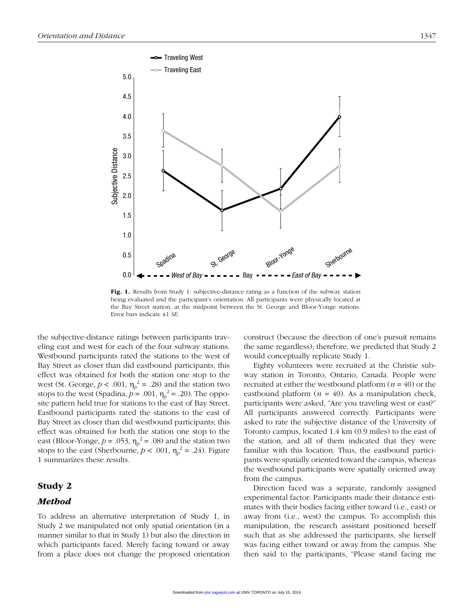

Fig. 1. Results from Study 1: subjective-distance rating as a function of the subway station being evaluated and the participant's orientation. All participants were physically located at the Bay Street station, at the midpoint between the St. George and Bloor-Yonge stations. Error bars indicate ±1 *SE*.

the subjective-distance ratings between participants traveling east and west for each of the four subway stations. Westbound participants rated the stations to the west of Bay Street as closer than did eastbound participants; this effect was obtained for both the station one stop to the west (St. George,  $p < .001$ ,  $\eta_p^2 = .28$ ) and the station two stops to the west (Spadina,  $p = .001$ ,  $\eta_p^2 = .20$ ). The opposite pattern held true for stations to the east of Bay Street. Eastbound participants rated the stations to the east of Bay Street as closer than did westbound participants; this effect was obtained for both the station one stop to the east (Bloor-Yonge,  $p = .053$ ,  $\eta_p^2 = .08$ ) and the station two stops to the east (Sherbourne,  $p < .001$ ,  $\eta_p^2 = .24$ ). Figure 1 summarizes these results.

#### Study 2

#### *Method*

To address an alternative interpretation of Study 1, in Study 2 we manipulated not only spatial orientation (in a manner similar to that in Study 1) but also the direction in which participants faced. Merely facing toward or away from a place does not change the proposed orientation construct (because the direction of one's pursuit remains the same regardless); therefore, we predicted that Study 2 would conceptually replicate Study 1.

Eighty volunteers were recruited at the Christie subway station in Toronto, Ontario, Canada. People were recruited at either the westbound platform (*n* = 40) or the eastbound platform  $(n = 40)$ . As a manipulation check, participants were asked, "Are you traveling west or east?" All participants answered correctly. Participants were asked to rate the subjective distance of the University of Toronto campus, located 1.4 km (0.9 miles) to the east of the station, and all of them indicated that they were familiar with this location. Thus, the eastbound participants were spatially oriented toward the campus, whereas the westbound participants were spatially oriented away from the campus.

Direction faced was a separate, randomly assigned experimental factor: Participants made their distance estimates with their bodies facing either toward (i.e., east) or away from (i.e., west) the campus. To accomplish this manipulation, the research assistant positioned herself such that as she addressed the participants, she herself was facing either toward or away from the campus. She then said to the participants, "Please stand facing me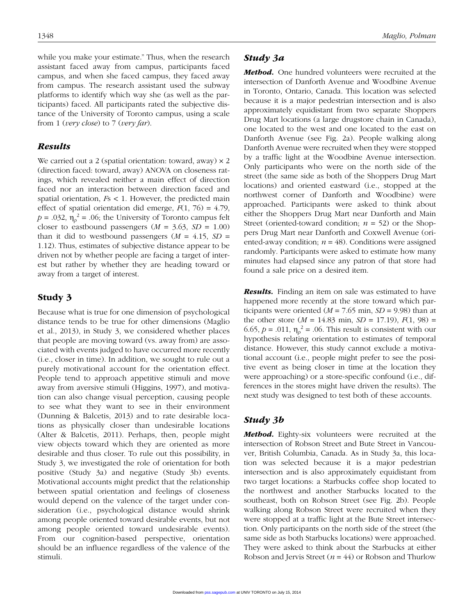while you make your estimate." Thus, when the research assistant faced away from campus, participants faced campus, and when she faced campus, they faced away from campus. The research assistant used the subway platforms to identify which way she (as well as the participants) faced. All participants rated the subjective distance of the University of Toronto campus, using a scale from 1 (*very close*) to 7 (*very far*).

#### *Results*

We carried out a 2 (spatial orientation: toward, away)  $\times$  2 (direction faced: toward, away) ANOVA on closeness ratings, which revealed neither a main effect of direction faced nor an interaction between direction faced and spatial orientation, *F*s < 1. However, the predicted main effect of spatial orientation did emerge, *F*(1, 76) = 4.79,  $p = .032$ ,  $\eta_p^2 = .06$ ; the University of Toronto campus felt closer to eastbound passengers  $(M = 3.63, SD = 1.00)$ than it did to westbound passengers  $(M = 4.15, SD =$ 1.12). Thus, estimates of subjective distance appear to be driven not by whether people are facing a target of interest but rather by whether they are heading toward or away from a target of interest.

#### Study 3

Because what is true for one dimension of psychological distance tends to be true for other dimensions (Maglio et al., 2013), in Study 3, we considered whether places that people are moving toward (vs. away from) are associated with events judged to have occurred more recently (i.e., closer in time). In addition, we sought to rule out a purely motivational account for the orientation effect. People tend to approach appetitive stimuli and move away from aversive stimuli (Higgins, 1997), and motivation can also change visual perception, causing people to see what they want to see in their environment (Dunning & Balcetis, 2013) and to rate desirable locations as physically closer than undesirable locations (Alter & Balcetis, 2011). Perhaps, then, people might view objects toward which they are oriented as more desirable and thus closer. To rule out this possibility, in Study 3, we investigated the role of orientation for both positive (Study 3a) and negative (Study 3b) events. Motivational accounts might predict that the relationship between spatial orientation and feelings of closeness would depend on the valence of the target under consideration (i.e., psychological distance would shrink among people oriented toward desirable events, but not among people oriented toward undesirable events). From our cognition-based perspective, orientation should be an influence regardless of the valence of the stimuli.

#### *Study 3a*

*Method.* One hundred volunteers were recruited at the intersection of Danforth Avenue and Woodbine Avenue in Toronto, Ontario, Canada. This location was selected because it is a major pedestrian intersection and is also approximately equidistant from two separate Shoppers Drug Mart locations (a large drugstore chain in Canada), one located to the west and one located to the east on Danforth Avenue (see Fig. 2a). People walking along Danforth Avenue were recruited when they were stopped by a traffic light at the Woodbine Avenue intersection. Only participants who were on the north side of the street (the same side as both of the Shoppers Drug Mart locations) and oriented eastward (i.e., stopped at the northwest corner of Danforth and Woodbine) were approached. Participants were asked to think about either the Shoppers Drug Mart near Danforth and Main Street (oriented-toward condition; *n* = 52) or the Shoppers Drug Mart near Danforth and Coxwell Avenue (oriented-away condition;  $n = 48$ ). Conditions were assigned randomly. Participants were asked to estimate how many minutes had elapsed since any patron of that store had found a sale price on a desired item.

*Results.* Finding an item on sale was estimated to have happened more recently at the store toward which participants were oriented  $(M = 7.65 \text{ min}, SD = 9.98)$  than at the other store ( $M = 14.83$  min,  $SD = 17.19$ ),  $F(1, 98) =$ 6.65,  $p = .011$ ,  $\eta_p^2 = .06$ . This result is consistent with our hypothesis relating orientation to estimates of temporal distance. However, this study cannot exclude a motivational account (i.e., people might prefer to see the positive event as being closer in time at the location they were approaching) or a store-specific confound (i.e., differences in the stores might have driven the results). The next study was designed to test both of these accounts.

#### *Study 3b*

*Method.* Eighty-six volunteers were recruited at the intersection of Robson Street and Bute Street in Vancouver, British Columbia, Canada. As in Study 3a, this location was selected because it is a major pedestrian intersection and is also approximately equidistant from two target locations: a Starbucks coffee shop located to the northwest and another Starbucks located to the southeast, both on Robson Street (see Fig. 2b). People walking along Robson Street were recruited when they were stopped at a traffic light at the Bute Street intersection. Only participants on the north side of the street (the same side as both Starbucks locations) were approached. They were asked to think about the Starbucks at either Robson and Jervis Street (*n* = 44) or Robson and Thurlow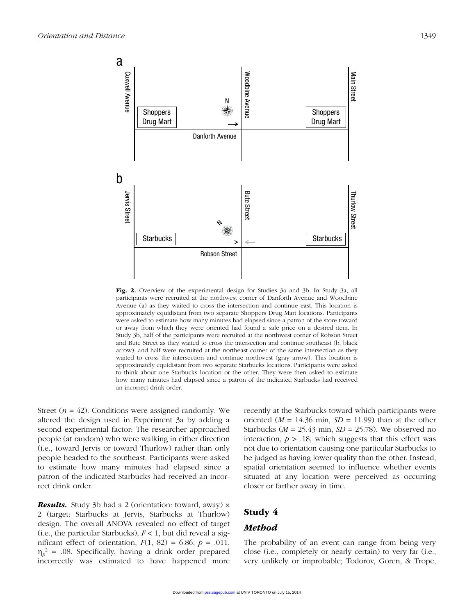

Fig. 2. Overview of the experimental design for Studies 3a and 3b. In Study 3a, all participants were recruited at the northwest corner of Danforth Avenue and Woodbine Avenue (a) as they waited to cross the intersection and continue east. This location is approximately equidistant from two separate Shoppers Drug Mart locations. Participants were asked to estimate how many minutes had elapsed since a patron of the store toward or away from which they were oriented had found a sale price on a desired item. In Study 3b, half of the participants were recruited at the northwest corner of Robson Street and Bute Street as they waited to cross the intersection and continue southeast (b; black arrow), and half were recruited at the northeast corner of the same intersection as they waited to cross the intersection and continue northwest (gray arrow). This location is approximately equidistant from two separate Starbucks locations. Participants were asked to think about one Starbucks location or the other. They were then asked to estimate how many minutes had elapsed since a patron of the indicated Starbucks had received an incorrect drink order.

Street ( $n = 42$ ). Conditions were assigned randomly. We altered the design used in Experiment 3a by adding a second experimental factor: The researcher approached people (at random) who were walking in either direction (i.e., toward Jervis or toward Thurlow) rather than only people headed to the southeast. Participants were asked to estimate how many minutes had elapsed since a patron of the indicated Starbucks had received an incorrect drink order.

*Results.* Study 3b had a 2 (orientation: toward, away) × 2 (target: Starbucks at Jervis, Starbucks at Thurlow) design. The overall ANOVA revealed no effect of target (i.e., the particular Starbucks),  $F < 1$ , but did reveal a significant effect of orientation,  $F(1, 82) = 6.86$ ,  $p = .011$ ,  $\eta_p^2$  = .08. Specifically, having a drink order prepared incorrectly was estimated to have happened more

recently at the Starbucks toward which participants were oriented  $(M = 14.36 \text{ min}, SD = 11.99)$  than at the other Starbucks (*M* = 25.43 min, *SD* = 25.78). We observed no interaction,  $p > 0.18$ , which suggests that this effect was not due to orientation causing one particular Starbucks to be judged as having lower quality than the other. Instead, spatial orientation seemed to influence whether events situated at any location were perceived as occurring closer or farther away in time.

#### Study 4

#### *Method*

The probability of an event can range from being very close (i.e., completely or nearly certain) to very far (i.e., very unlikely or improbable; Todorov, Goren, & Trope,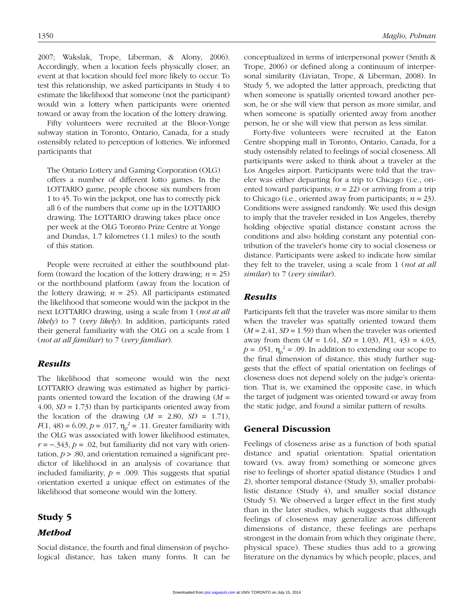2007; Wakslak, Trope, Liberman, & Alony, 2006). Accordingly, when a location feels physically closer, an event at that location should feel more likely to occur. To test this relationship, we asked participants in Study 4 to estimate the likelihood that someone (not the participant) would win a lottery when participants were oriented toward or away from the location of the lottery drawing.

Fifty volunteers were recruited at the Bloor-Yonge subway station in Toronto, Ontario, Canada, for a study ostensibly related to perception of lotteries. We informed participants that

The Ontario Lottery and Gaming Corporation (OLG) offers a number of different lotto games. In the LOTTARIO game, people choose six numbers from 1 to 45. To win the jackpot, one has to correctly pick all 6 of the numbers that come up in the LOTTARIO drawing. The LOTTARIO drawing takes place once per week at the OLG Toronto Prize Centre at Yonge and Dundas, 1.7 kilometres (1.1 miles) to the south of this station.

People were recruited at either the southbound platform (toward the location of the lottery drawing;  $n = 25$ ) or the northbound platform (away from the location of the lottery drawing;  $n = 25$ ). All participants estimated the likelihood that someone would win the jackpot in the next LOTTARIO drawing, using a scale from 1 (*not at all likely*) to 7 (*very likely*). In addition, participants rated their general familiarity with the OLG on a scale from 1 (*not at all familiar*) to 7 (*very familiar*).

#### *Results*

The likelihood that someone would win the next LOTTARIO drawing was estimated as higher by participants oriented toward the location of the drawing (*M* = 4.00, *SD* = 1.73) than by participants oriented away from the location of the drawing  $(M = 2.80, SD = 1.71)$ , *F*(1, 48) = 6.09, *p* = .017,  $\eta_p^2$  = .11. Greater familiarity with the OLG was associated with lower likelihood estimates,  $r = -0.343$ ,  $p = 0.02$ , but familiarity did not vary with orientation, *p* > .80, and orientation remained a significant predictor of likelihood in an analysis of covariance that included familiarity,  $p = .009$ . This suggests that spatial orientation exerted a unique effect on estimates of the likelihood that someone would win the lottery.

#### Study 5

#### *Method*

Social distance, the fourth and final dimension of psychological distance, has taken many forms. It can be conceptualized in terms of interpersonal power (Smith & Trope, 2006) or defined along a continuum of interpersonal similarity (Liviatan, Trope, & Liberman, 2008). In Study 5, we adopted the latter approach, predicting that when someone is spatially oriented toward another person, he or she will view that person as more similar, and when someone is spatially oriented away from another person, he or she will view that person as less similar.

Forty-five volunteers were recruited at the Eaton Centre shopping mall in Toronto, Ontario, Canada, for a study ostensibly related to feelings of social closeness. All participants were asked to think about a traveler at the Los Angeles airport. Participants were told that the traveler was either departing for a trip to Chicago (i.e., oriented toward participants;  $n = 22$ ) or arriving from a trip to Chicago (i.e., oriented away from participants;  $n = 23$ ). Conditions were assigned randomly. We used this design to imply that the traveler resided in Los Angeles, thereby holding objective spatial distance constant across the conditions and also holding constant any potential contribution of the traveler's home city to social closeness or distance. Participants were asked to indicate how similar they felt to the traveler, using a scale from 1 (*not at all similar*) to 7 (*very similar*).

#### *Results*

Participants felt that the traveler was more similar to them when the traveler was spatially oriented toward them  $(M = 2.41, SD = 1.59)$  than when the traveler was oriented away from them  $(M = 1.61, SD = 1.03)$ ,  $F(1, 43) = 4.03$ ,  $p = .051$ ,  $\eta_p^2 = .09$ . In addition to extending our scope to the final dimension of distance, this study further suggests that the effect of spatial orientation on feelings of closeness does not depend solely on the judge's orientation. That is, we examined the opposite case, in which the target of judgment was oriented toward or away from the static judge, and found a similar pattern of results.

#### General Discussion

Feelings of closeness arise as a function of both spatial distance and spatial orientation: Spatial orientation toward (vs. away from) something or someone gives rise to feelings of shorter spatial distance (Studies 1 and 2), shorter temporal distance (Study 3), smaller probabilistic distance (Study 4), and smaller social distance (Study 5). We observed a larger effect in the first study than in the later studies, which suggests that although feelings of closeness may generalize across different dimensions of distance, these feelings are perhaps strongest in the domain from which they originate (here, physical space). These studies thus add to a growing literature on the dynamics by which people, places, and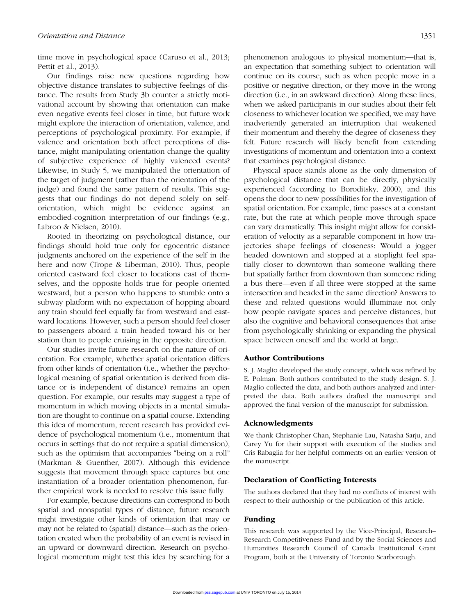time move in psychological space (Caruso et al., 2013; Pettit et al., 2013).

Our findings raise new questions regarding how objective distance translates to subjective feelings of distance. The results from Study 3b counter a strictly motivational account by showing that orientation can make even negative events feel closer in time, but future work might explore the interaction of orientation, valence, and perceptions of psychological proximity. For example, if valence and orientation both affect perceptions of distance, might manipulating orientation change the quality of subjective experience of highly valenced events? Likewise, in Study 5, we manipulated the orientation of the target of judgment (rather than the orientation of the judge) and found the same pattern of results. This suggests that our findings do not depend solely on selforientation, which might be evidence against an embodied-cognition interpretation of our findings (e.g., Labroo & Nielsen, 2010).

Rooted in theorizing on psychological distance, our findings should hold true only for egocentric distance judgments anchored on the experience of the self in the here and now (Trope & Liberman, 2010). Thus, people oriented eastward feel closer to locations east of themselves, and the opposite holds true for people oriented westward, but a person who happens to stumble onto a subway platform with no expectation of hopping aboard any train should feel equally far from westward and eastward locations. However, such a person should feel closer to passengers aboard a train headed toward his or her station than to people cruising in the opposite direction.

Our studies invite future research on the nature of orientation. For example, whether spatial orientation differs from other kinds of orientation (i.e., whether the psychological meaning of spatial orientation is derived from distance or is independent of distance) remains an open question. For example, our results may suggest a type of momentum in which moving objects in a mental simulation are thought to continue on a spatial course. Extending this idea of momentum, recent research has provided evidence of psychological momentum (i.e., momentum that occurs in settings that do not require a spatial dimension), such as the optimism that accompanies "being on a roll" (Markman & Guenther, 2007). Although this evidence suggests that movement through space captures but one instantiation of a broader orientation phenomenon, further empirical work is needed to resolve this issue fully.

For example, because directions can correspond to both spatial and nonspatial types of distance, future research might investigate other kinds of orientation that may or may not be related to (spatial) distance—such as the orientation created when the probability of an event is revised in an upward or downward direction. Research on psychological momentum might test this idea by searching for a phenomenon analogous to physical momentum—that is, an expectation that something subject to orientation will continue on its course, such as when people move in a positive or negative direction, or they move in the wrong direction (i.e., in an awkward direction). Along these lines, when we asked participants in our studies about their felt closeness to whichever location we specified, we may have inadvertently generated an interruption that weakened their momentum and thereby the degree of closeness they felt. Future research will likely benefit from extending investigations of momentum and orientation into a context that examines psychological distance.

Physical space stands alone as the only dimension of psychological distance that can be directly, physically experienced (according to Boroditsky, 2000), and this opens the door to new possibilities for the investigation of spatial orientation. For example, time passes at a constant rate, but the rate at which people move through space can vary dramatically. This insight might allow for consideration of velocity as a separable component in how trajectories shape feelings of closeness: Would a jogger headed downtown and stopped at a stoplight feel spatially closer to downtown than someone walking there but spatially farther from downtown than someone riding a bus there—even if all three were stopped at the same intersection and headed in the same direction? Answers to these and related questions would illuminate not only how people navigate spaces and perceive distances, but also the cognitive and behavioral consequences that arise from psychologically shrinking or expanding the physical space between oneself and the world at large.

#### Author Contributions

S. J. Maglio developed the study concept, which was refined by E. Polman. Both authors contributed to the study design. S. J. Maglio collected the data, and both authors analyzed and interpreted the data. Both authors drafted the manuscript and approved the final version of the manuscript for submission.

#### Acknowledgments

We thank Christopher Chan, Stephanie Lau, Natasha Sarju, and Carey Yu for their support with execution of the studies and Cris Rabaglia for her helpful comments on an earlier version of the manuscript.

#### Declaration of Conflicting Interests

The authors declared that they had no conflicts of interest with respect to their authorship or the publication of this article.

#### Funding

This research was supported by the Vice-Principal, Research– Research Competitiveness Fund and by the Social Sciences and Humanities Research Council of Canada Institutional Grant Program, both at the University of Toronto Scarborough.